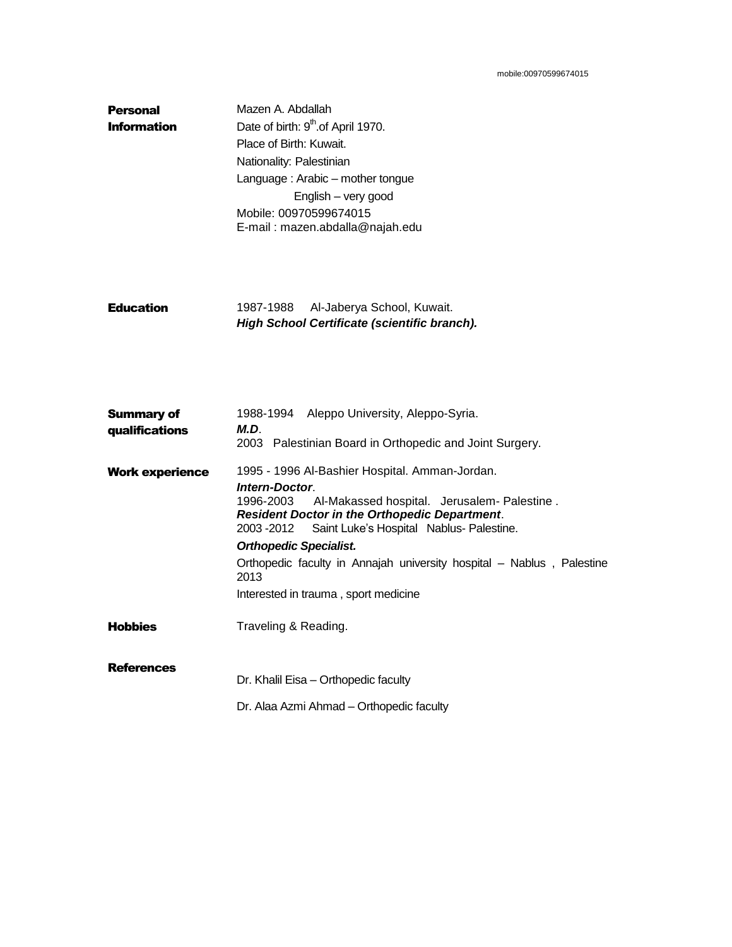| <b>Personal</b>    | Mazen A. Abdallah                             |
|--------------------|-----------------------------------------------|
| <b>Information</b> | Date of birth: 9 <sup>th</sup> of April 1970. |
|                    | Place of Birth: Kuwait.                       |
|                    | Nationality: Palestinian                      |
|                    | Language: Arabic – mother tongue              |
|                    | English - very good                           |
|                    | Mobile: 00970599674015                        |
|                    | E-mail: mazen.abdalla@najah.edu               |

|                  |           | High School Certificate (scientific branch). |
|------------------|-----------|----------------------------------------------|
| <b>Education</b> | 1987-1988 | Al-Jaberya School, Kuwait.                   |

| <b>Summary of</b>      | 1988-1994 Aleppo University, Aleppo-Syria.                                                                                                                                                                                                                                                                                                                                                            |  |  |
|------------------------|-------------------------------------------------------------------------------------------------------------------------------------------------------------------------------------------------------------------------------------------------------------------------------------------------------------------------------------------------------------------------------------------------------|--|--|
| qualifications         | M.D.<br>2003 Palestinian Board in Orthopedic and Joint Surgery.                                                                                                                                                                                                                                                                                                                                       |  |  |
| <b>Work experience</b> | 1995 - 1996 Al-Bashier Hospital. Amman-Jordan.<br>Intern-Doctor.<br>Al-Makassed hospital. Jerusalem- Palestine.<br>1996-2003<br><b>Resident Doctor in the Orthopedic Department.</b><br>2003 - 2012 Saint Luke's Hospital Nablus-Palestine.<br><b>Orthopedic Specialist.</b><br>Orthopedic faculty in Annajah university hospital – Nablus, Palestine<br>2013<br>Interested in trauma, sport medicine |  |  |
| <b>Hobbies</b>         | Traveling & Reading.                                                                                                                                                                                                                                                                                                                                                                                  |  |  |
| <b>References</b>      | Dr. Khalil Eisa - Orthopedic faculty<br>Dr. Alaa Azmi Ahmad – Orthopedic faculty                                                                                                                                                                                                                                                                                                                      |  |  |